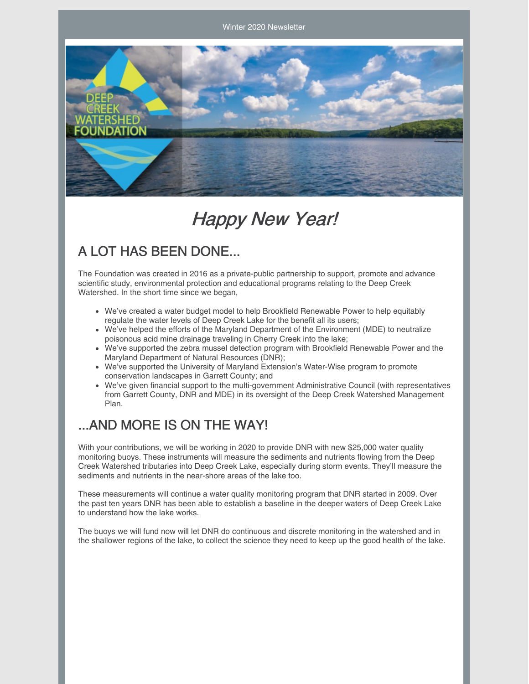Winter 2020 Newsletter



# Happy New Year!

### A LOT HAS BEEN DONE...

The Foundation was created in 2016 as a private-public partnership to support, promote and advance scientific study, environmental protection and educational programs relating to the Deep Creek Watershed. In the short time since we began,

- We've created a water budget model to help Brookfield Renewable Power to help equitably regulate the water levels of Deep Creek Lake for the benefit all its users;
- We've helped the efforts of the Maryland Department of the Environment (MDE) to neutralize poisonous acid mine drainage traveling in Cherry Creek into the lake;
- We've supported the zebra mussel detection program with Brookfield Renewable Power and the Maryland Department of Natural Resources (DNR);
- We've supported the University of Maryland Extension's Water-Wise program to promote conservation landscapes in Garrett County; and
- We've given financial support to the multi-government Administrative Council (with representatives from Garrett County, DNR and MDE) in its oversight of the Deep Creek Watershed Management Plan.

#### ...AND MORE IS ON THE WAY!

With your contributions, we will be working in 2020 to provide DNR with new \$25,000 water quality monitoring buoys. These instruments will measure the sediments and nutrients flowing from the Deep Creek Watershed tributaries into Deep Creek Lake, especially during storm events. They'll measure the sediments and nutrients in the near-shore areas of the lake too.

These measurements will continue a water quality monitoring program that DNR started in 2009. Over the past ten years DNR has been able to establish a baseline in the deeper waters of Deep Creek Lake to understand how the lake works.

The buoys we will fund now will let DNR do continuous and discrete monitoring in the watershed and in the shallower regions of the lake, to collect the science they need to keep up the good health of the lake.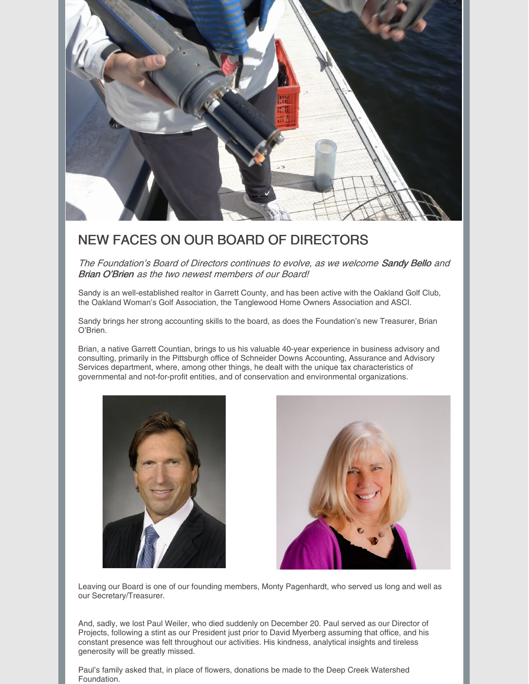

#### NEW FACES ON OUR BOARD OF DIRECTORS

The Foundation's Board of Directors continues to evolve, as we welcome Sandy Bello and Brian O'Brien as the two newest members of our Board!

Sandy is an well-established realtor in Garrett County, and has been active with the Oakland Golf Club, the Oakland Woman's Golf Association, the Tanglewood Home Owners Association and ASCI.

Sandy brings her strong accounting skills to the board, as does the Foundation's new Treasurer, Brian O'Brien.

Brian, a native Garrett Countian, brings to us his valuable 40-year experience in business advisory and consulting, primarily in the Pittsburgh office of Schneider Downs Accounting, Assurance and Advisory Services department, where, among other things, he dealt with the unique tax characteristics of governmental and not-for-profit entities, and of conservation and environmental organizations.





Leaving our Board is one of our founding members, Monty Pagenhardt, who served us long and well as our Secretary/Treasurer.

And, sadly, we lost Paul Weiler, who died suddenly on December 20. Paul served as our Director of Projects, following a stint as our President just prior to David Myerberg assuming that office, and his constant presence was felt throughout our activities. His kindness, analytical insights and tireless generosity will be greatly missed.

Paul's family asked that, in place of flowers, donations be made to the Deep Creek Watershed Foundation.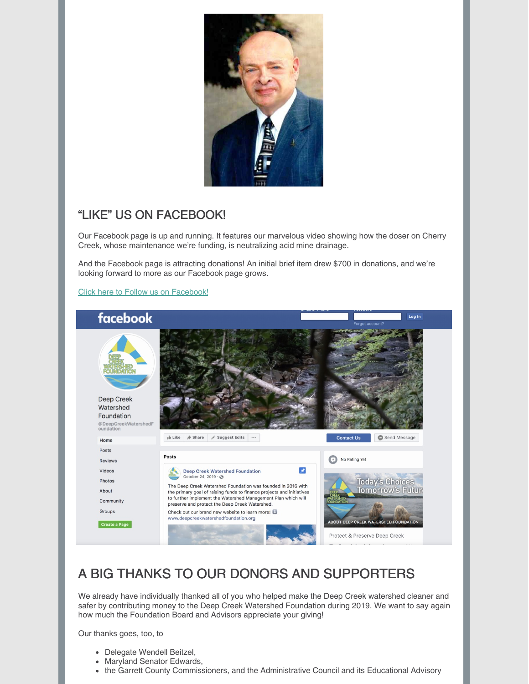

#### "LIKE" US ON FACEBOOK!

Our Facebook page is up and running. It features our marvelous video showing how the doser on Cherry Creek, whose maintenance we're funding, is neutralizing acid mine drainage.

And the Facebook page is attracting donations! An initial brief item drew \$700 in donations, and we're looking forward to more as our Facebook page grows.

#### Click here to Follow us on [Facebook!](https://www.facebook.com/DeepCreekWatershedFoundation/)



#### A BIG THANKS TO OUR DONORS AND SUPPORTERS

We already have individually thanked all of you who helped make the Deep Creek watershed cleaner and safer by contributing money to the Deep Creek Watershed Foundation during 2019. We want to say again how much the Foundation Board and Advisors appreciate your giving!

Our thanks goes, too, to

- Delegate Wendell Beitzel,
- Maryland Senator Edwards,
- the Garrett County Commissioners, and the Administrative Council and its Educational Advisory